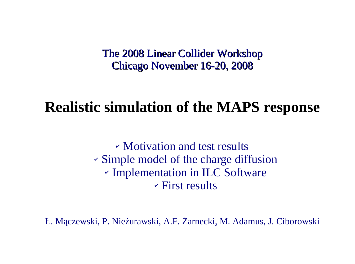The 2008 Linear Collider Workshop Chicago November 16-20, 2008

## **Realistic simulation of the MAPS response**

✔ Motivation and test results ✔ Simple model of the charge diffusion ✔ Implementation in ILC Software  $\overline{\phantom{a}}$  First results

Ł. Mączewski, P. Nieżurawski, A.F. Żarnecki, M. Adamus, J. Ciborowski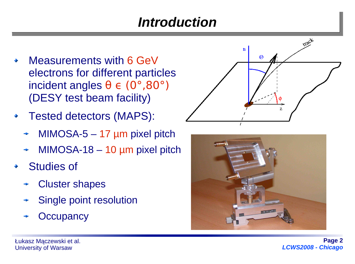# *Introduction*

- Measurements with 6 GeV electrons for different particles incident angles  $\theta \in (0^{\circ}, 80^{\circ})$ (DESY test beam facility)
- Tested detectors (MAPS): ۰
	- MIMOSA- $5 17$  µm pixel pitch
	- MIMOSA-18  $-$  10  $\mu$ m pixel pitch
- Studies of
	- Cluster shapes
	- Single point resolution
	- **Occupancy**



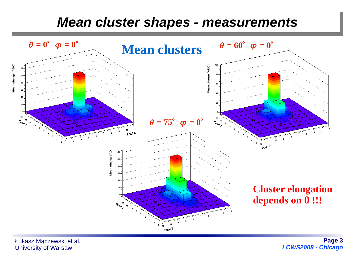#### *Mean cluster shapes - measurements*



Łukasz Mączewski et al. University of Warsaw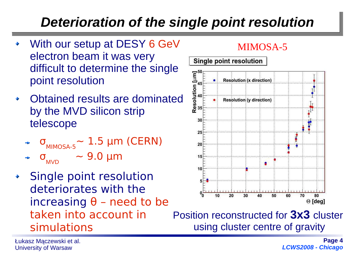# *Deterioration of the single point resolution*

- With our setup at DESY 6 GeV electron beam it was very difficult to determine the single point resolution
- Obtained results are dominated by the MVD silicon strip telescope
	- $\sigma$ <sub>MIMOSA-5</sub>∼ 1.5 μm (CERN)
	- $σ<sub>MVD</sub>$  ~ 9.0 μm
- Single point resolution deteriorates with the increasing  $θ$  – need to be taken into account in simulations

#### MIMOSA-5



Position reconstructed for **3x3** cluster using cluster centre of gravity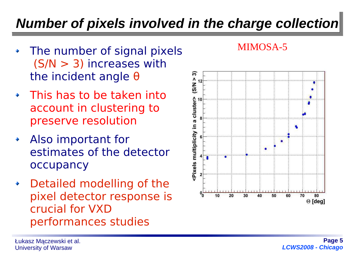# *Number of pixels involved in the charge collection*

- The number of signal pixels  $\ddot{\bullet}$ (S/N > 3) increases with the incident angle θ
- This has to be taken into account in clustering to preserve resolution
- Also important for estimates of the detector occupancy
- Detailed modelling of the pixel detector response is crucial for VXD performances studies



MIMOSA-5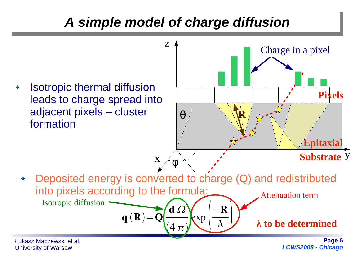## *A simple model of charge diffusion*



University of Warsaw

*LCWS2008 - Chicago*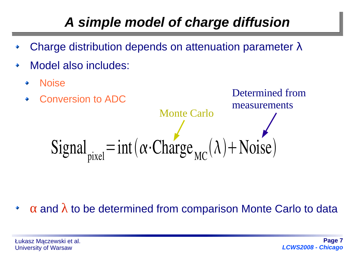# *A simple model of charge diffusion*

- Charge distribution depends on attenuation parameter λ
- Model also includes: ٠
	- Noise ۰



 $\alpha$  and  $\lambda$  to be determined from comparison Monte Carlo to data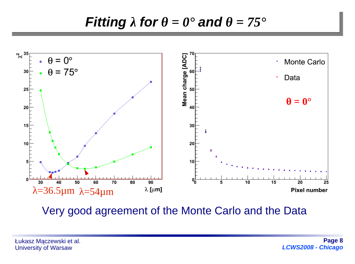### *Fitting*  $\lambda$  *for*  $\theta = 0^{\circ}$  *and*  $\theta = 75^{\circ}$



Very good agreement of the Monte Carlo and the Data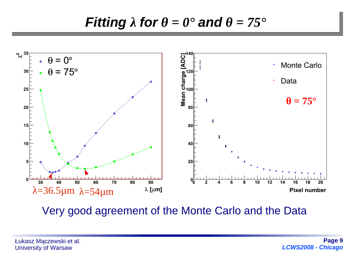### *Fitting*  $\lambda$  *for*  $\theta = 0^{\circ}$  *and*  $\theta = 75^{\circ}$



Very good agreement of the Monte Carlo and the Data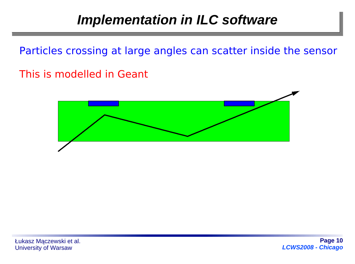Particles crossing at large angles can scatter inside the sensor

This is modelled in Geant

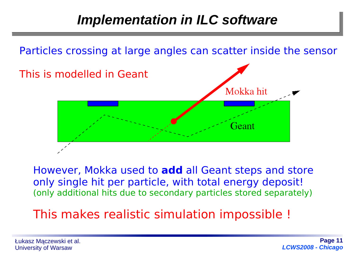

However, Mokka used to **add** all Geant steps and store only single hit per particle, with total energy deposit! (only additional hits due to secondary particles stored separately)

### This makes realistic simulation impossible !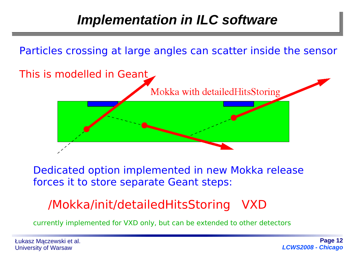Particles crossing at large angles can scatter inside the sensor



Dedicated option implemented in new Mokka release forces it to store separate Geant steps:

### /Mokka/init/detailedHitsStoring VXD

currently implemented for VXD only, but can be extended to other detectors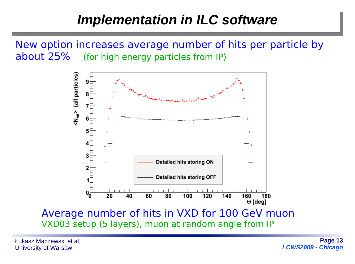### *Implementation in ILC software*

New option increases average number of hits per particle by about 25% (for high energy particles from IP)



Average number of hits in VXD for 100 GeV muon VXD03 setup (5 layers), muon at random angle from IP

Łukasz Mączewski et al. University of Warsaw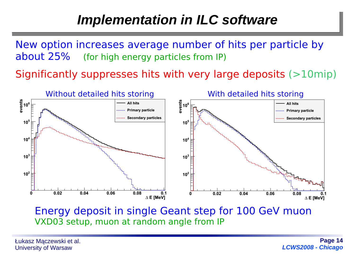## *Implementation in ILC software*

New option increases average number of hits per particle by about 25% (for high energy particles from IP)

Significantly suppresses hits with very large deposits (>10mip)



Energy deposit in single Geant step for 100 GeV muon VXD03 setup, muon at random angle from IP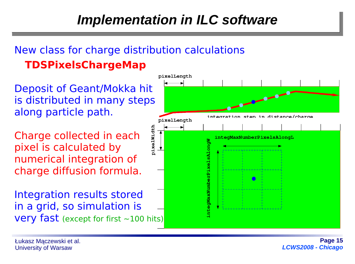#### New class for charge distribution calculations  **TDSPixelsChargeMap**

Deposit of Geant/Mokka hit is distributed in many steps along particle path.

Charge collected in each pixel is calculated by numerical integration of charge diffusion formula.

Integration results stored in a grid, so simulation is **very fast** (except for first  $\sim$ 100 hits)

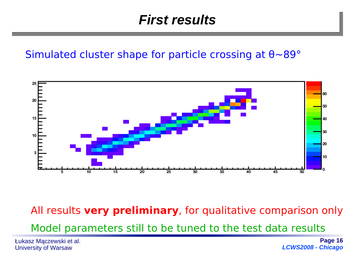### *First results*

#### Simulated cluster shape for particle crossing at θ~89°



All results **very preliminary**, for qualitative comparison only

Model parameters still to be tuned to the test data results

Łukasz Mączewski et al. University of Warsaw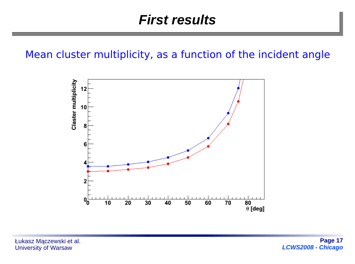#### Mean cluster multiplicity, as a function of the incident angle

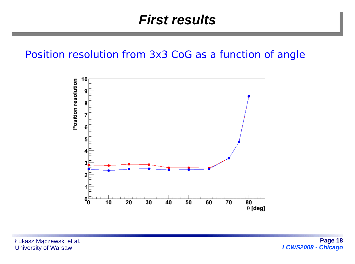#### Position resolution from 3x3 CoG as a function of angle

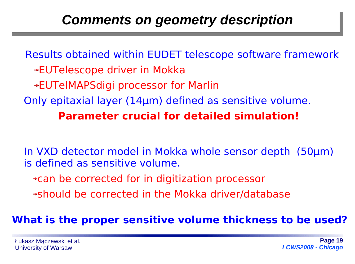## *Comments on geometry description*

Results obtained within EUDET telescope software framework EUTelescope driver in Mokka EUTelMAPSdigi processor for Marlin Only epitaxial layer (14μm) defined as sensitive volume. **Parameter crucial for detailed simulation!**

In VXD detector model in Mokka whole sensor depth (50μm) is defined as sensitive volume.

can be corrected for in digitization processor

should be corrected in the Mokka driver/database

#### **What is the proper sensitive volume thickness to be used?**